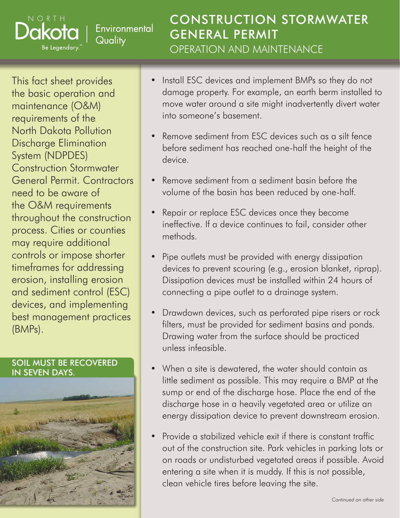# Environmental Quality

CONSTRUCTION STORMWATER GENERAL PERMIT OPERATION AND MAINTENANCE

This fact sheet provides the basic operation and maintenance (O&M) requirements of the North Dakota Pollution Discharge Elimination System (NDPDES) Construction Stormwater General Permit. Contractors need to be aware of the O&M requirements throughout the construction process. Cities or counties may require additional controls or impose shorter timeframes for addressing erosion, installing erosion and sediment control (ESC) devices, and implementing best management practices (BMPs).

NORTH

Be Legendary.

### SOIL MUST BE RECOVERED IN SEVEN DAYS.



- Install ESC devices and implement BMPs so they do not damage property. For example, an earth berm installed to move water around a site might inadvertently divert water into someone's basement.
- Remove sediment from ESC devices such as a silt fence before sediment has reached one-half the height of the device.
- Remove sediment from a sediment basin before the volume of the basin has been reduced by one-half.
- Repair or replace ESC devices once they become ineffective. If a device continues to fail, consider other methods.
- Pipe outlets must be provided with energy dissipation devices to prevent scouring (e.g., erosion blanket, riprap). Dissipation devices must be installed within 24 hours of connecting a pipe outlet to a drainage system.
- Drawdown devices, such as perforated pipe risers or rock filters, must be provided for sediment basins and ponds. Drawing water from the surface should be practiced unless infeasible.
- When a site is dewatered, the water should contain as little sediment as possible. This may require a BMP at the sump or end of the discharge hose. Place the end of the discharge hose in a heavily vegetated area or utilize an energy dissipation device to prevent downstream erosion.
- Provide a stabilized vehicle exit if there is constant traffic out of the construction site. Park vehicles in parking lots or on roads or undisturbed vegetated areas if possible. Avoid entering a site when it is muddy. If this is not possible, clean vehicle tires before leaving the site.